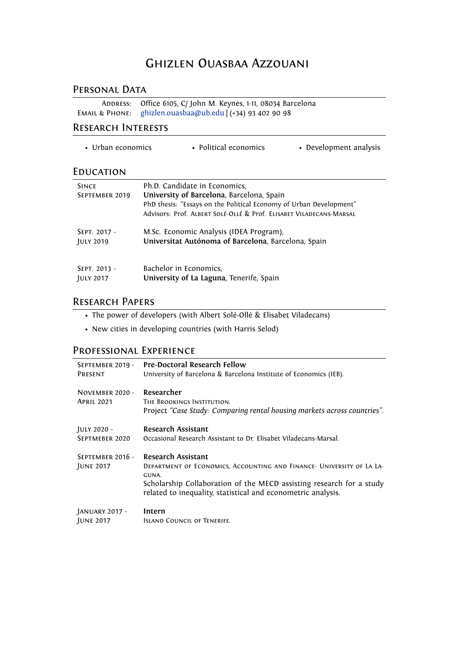# Ghizlen Ouasbaa Azzouani

### PERSONAL DATA

ADDRESS: Office 6105, C/ John M. Keynes, 1-11, 08034 Barcelona Email & Phone: [ghizlen.ouasbaa@ub.edu](mailto:ghizlen.ouasbaa@ub.edu) | (+34) 93 402 90 98

### Research Interests

• Urban economics • Political economics • Development analysis

### **EDUCATION**

| <b>SINCE</b>     | Ph.D. Candidate in Economics,                                       |
|------------------|---------------------------------------------------------------------|
| SEPTEMBER 2019   | University of Barcelona, Barcelona, Spain                           |
|                  | PhD thesis: "Essays on the Political Economy of Urban Development"  |
|                  | Advisors: Prof. ALBERT SOLÉ-OLLÉ & Prof. ELISABET VILADECANS-MARSAL |
| SEPT. 2017 -     | M.Sc. Economic Analysis (IDEA Program),                             |
| <b>JULY 2019</b> | Universitat Autónoma of Barcelona, Barcelona, Spain                 |
|                  |                                                                     |
| SEPT. 2013 -     | Bachelor in Economics,                                              |
| <b>JULY 2017</b> | University of La Laguna, Tenerife, Spain                            |

## Research Papers

- The power of developers (with Albert Solé-Ollé & Elisabet Viladecans)
- New cities in developing countries (with Harris Selod)

## Professional Experience

| SEPTEMBER 2019 -                            | <b>Pre-Doctoral Research Fellow</b>                                                                                                                                                                                                                 |
|---------------------------------------------|-----------------------------------------------------------------------------------------------------------------------------------------------------------------------------------------------------------------------------------------------------|
| PRESENT                                     | University of Barcelona & Barcelona Institute of Economics (IEB).                                                                                                                                                                                   |
| <b>NOVEMBER 2020 -</b><br><b>APRIL 2021</b> | Researcher<br>THE BROOKINGS INSTITUTION.<br>Project "Case Study: Comparing rental housing markets across countries".                                                                                                                                |
| JULY 2020 -                                 | <b>Research Assistant</b>                                                                                                                                                                                                                           |
| SEPTMEBER 2020                              | Occasional Research Assistant to Dr. Elisabet Viladecans-Marsal.                                                                                                                                                                                    |
| SEPTEMBER 2016 -<br><b>JUNE 2017</b>        | <b>Research Assistant</b><br>DEPARTMENT OF ECONOMICS, ACCOUNTING AND FINANCE- UNIVERSITY OF LA LA-<br>GUNA.<br>Scholarship Collaboration of the MECD assisting research for a study<br>related to inequality, statistical and econometric analysis. |
| JANUARY 2017 -                              | Intern                                                                                                                                                                                                                                              |
| <b>JUNE 2017</b>                            | <b>ISLAND COUNCIL OF TENERIFE.</b>                                                                                                                                                                                                                  |